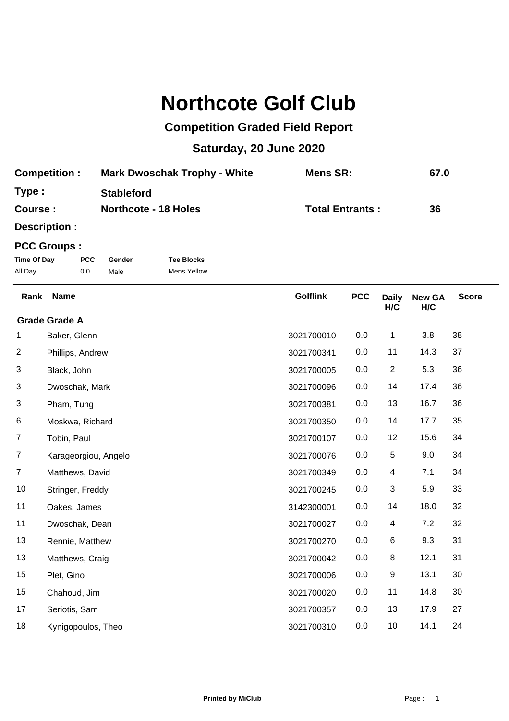## **Northcote Golf Club**

## **Competition Graded Field Report**

## **Saturday, 20 June 2020**

| <b>Competition:</b> | <b>Mark Dwoschak Trophy - White</b> | Mens SR:               | 67.0 |
|---------------------|-------------------------------------|------------------------|------|
| Type:               | <b>Stableford</b>                   |                        |      |
| Course:             | <b>Northcote - 18 Holes</b>         | <b>Total Entrants:</b> | 36   |

**Description :**

## **PCC Groups :**

| Time Of Day | <b>PCC</b> | Gender | <b>Tee Blocks</b> |
|-------------|------------|--------|-------------------|
| All Day     | 0.0        | Male   | Mens Yellow       |

| Rank           | <b>Name</b>          | <b>Golflink</b> | <b>PCC</b> | <b>Daily</b><br>H/C | <b>New GA</b><br>H/C | <b>Score</b> |
|----------------|----------------------|-----------------|------------|---------------------|----------------------|--------------|
|                | <b>Grade Grade A</b> |                 |            |                     |                      |              |
| 1              | Baker, Glenn         | 3021700010      | 0.0        | 1                   | 3.8                  | 38           |
| 2              | Phillips, Andrew     | 3021700341      | 0.0        | 11                  | 14.3                 | 37           |
| 3              | Black, John          | 3021700005      | 0.0        | $\overline{c}$      | 5.3                  | 36           |
| 3              | Dwoschak, Mark       | 3021700096      | 0.0        | 14                  | 17.4                 | 36           |
| 3              | Pham, Tung           | 3021700381      | 0.0        | 13                  | 16.7                 | 36           |
| 6              | Moskwa, Richard      | 3021700350      | 0.0        | 14                  | 17.7                 | 35           |
| 7              | Tobin, Paul          | 3021700107      | 0.0        | 12                  | 15.6                 | 34           |
| 7              | Karageorgiou, Angelo | 3021700076      | 0.0        | $\,$ 5 $\,$         | 9.0                  | 34           |
| $\overline{7}$ | Matthews, David      | 3021700349      | 0.0        | 4                   | 7.1                  | 34           |
| 10             | Stringer, Freddy     | 3021700245      | 0.0        | 3                   | 5.9                  | 33           |
| 11             | Oakes, James         | 3142300001      | 0.0        | 14                  | 18.0                 | 32           |
| 11             | Dwoschak, Dean       | 3021700027      | 0.0        | 4                   | 7.2                  | 32           |
| 13             | Rennie, Matthew      | 3021700270      | 0.0        | $\,6$               | 9.3                  | 31           |
| 13             | Matthews, Craig      | 3021700042      | 0.0        | 8                   | 12.1                 | 31           |
| 15             | Plet, Gino           | 3021700006      | 0.0        | 9                   | 13.1                 | 30           |
| 15             | Chahoud, Jim         | 3021700020      | 0.0        | 11                  | 14.8                 | 30           |
| 17             | Seriotis, Sam        | 3021700357      | 0.0        | 13                  | 17.9                 | 27           |
| 18             | Kynigopoulos, Theo   | 3021700310      | 0.0        | 10                  | 14.1                 | 24           |